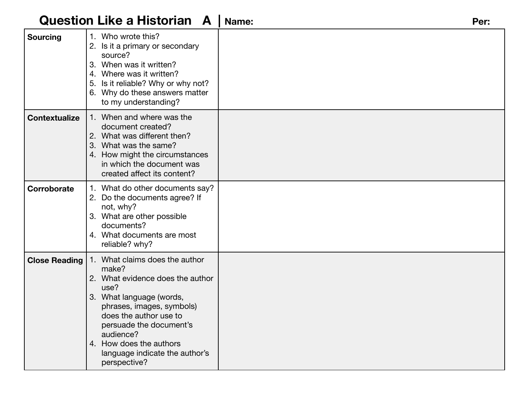# **Question Like a Historian A | Name:** Per:

| <b>Sourcing</b>      | 1. Who wrote this?<br>2. Is it a primary or secondary<br>source?<br>3. When was it written?<br>4. Where was it written?<br>5. Is it reliable? Why or why not?<br>6. Why do these answers matter<br>to my understanding?                                                                     |  |
|----------------------|---------------------------------------------------------------------------------------------------------------------------------------------------------------------------------------------------------------------------------------------------------------------------------------------|--|
| <b>Contextualize</b> | 1. When and where was the<br>document created?<br>2. What was different then?<br>3. What was the same?<br>4. How might the circumstances<br>in which the document was<br>created affect its content?                                                                                        |  |
| Corroborate          | 1. What do other documents say?<br>2. Do the documents agree? If<br>not, why?<br>3. What are other possible<br>documents?<br>4. What documents are most<br>reliable? why?                                                                                                                   |  |
| <b>Close Reading</b> | 1. What claims does the author<br>make?<br>2. What evidence does the author<br>use?<br>3. What language (words,<br>phrases, images, symbols)<br>does the author use to<br>persuade the document's<br>audience?<br>4. How does the authors<br>language indicate the author's<br>perspective? |  |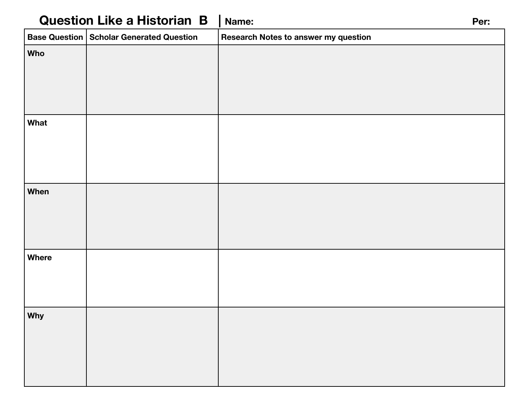| <b>Question Like a Historian B</b> |                                                          | Name:                                | Per: |
|------------------------------------|----------------------------------------------------------|--------------------------------------|------|
|                                    | $\vert$ Base Question $\vert$ Scholar Generated Question | Research Notes to answer my question |      |
| <b>Who</b>                         |                                                          |                                      |      |
| What                               |                                                          |                                      |      |
| <b>When</b>                        |                                                          |                                      |      |
| Where                              |                                                          |                                      |      |
| Why                                |                                                          |                                      |      |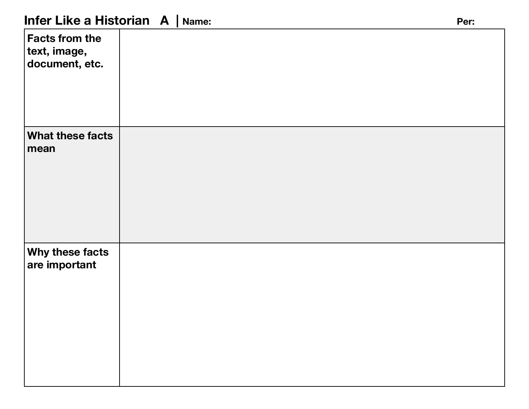| <b>Facts from the</b><br>text, image,<br>document, etc. |  |
|---------------------------------------------------------|--|
| What these facts<br>mean                                |  |
| Why these facts<br>are important                        |  |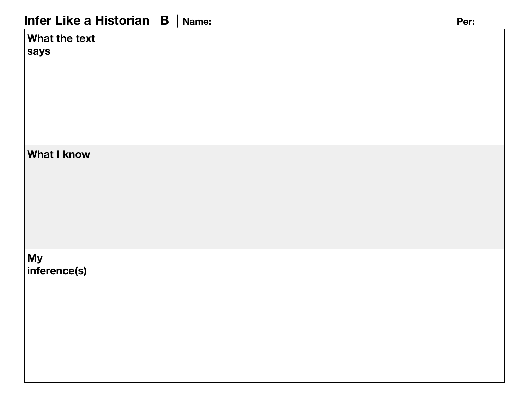## **Infer Like a Historian B | Name:** Per: Per:

| <b>What the text</b><br>says |  |
|------------------------------|--|
| <b>What I know</b>           |  |
| My<br>inference(s)           |  |
|                              |  |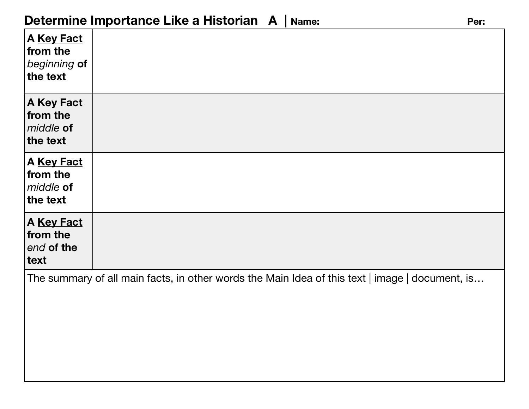| A Key Fact<br>from the<br>beginning of<br>the text |                                                                                                 |
|----------------------------------------------------|-------------------------------------------------------------------------------------------------|
| A Key Fact<br>from the<br>middle of<br>the text    |                                                                                                 |
| A Key Fact<br>from the<br>middle of<br>the text    |                                                                                                 |
| A Key Fact<br>from the<br>end of the<br>text       |                                                                                                 |
|                                                    | The summary of all main facts, in other words the Main Idea of this text   image   document, is |
|                                                    |                                                                                                 |
|                                                    |                                                                                                 |
|                                                    |                                                                                                 |
|                                                    |                                                                                                 |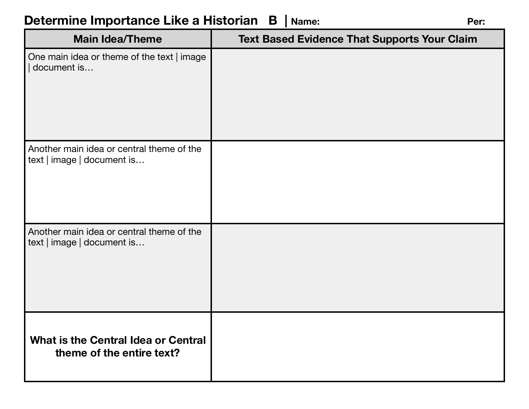# **Determine Importance Like a Historian B | Name:** Per: Per:

| <b>Main Idea/Theme</b>                                                  | <b>Text Based Evidence That Supports Your Claim</b> |
|-------------------------------------------------------------------------|-----------------------------------------------------|
| One main idea or theme of the text   image<br>document is               |                                                     |
| Another main idea or central theme of the<br>text   image   document is |                                                     |
| Another main idea or central theme of the<br>text   image   document is |                                                     |
| <b>What is the Central Idea or Central</b><br>theme of the entire text? |                                                     |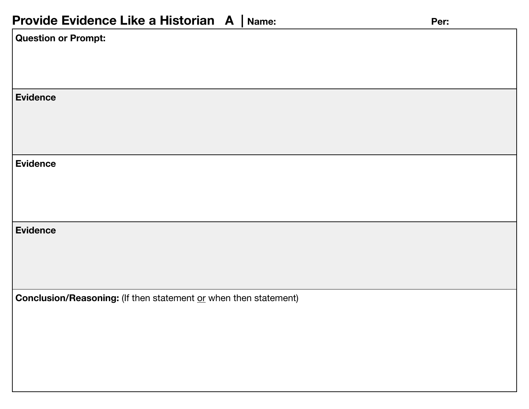### **Provide Evidence Like a Historian A | Name:** Per: Per:

| п.                                                                                   |  |  |
|--------------------------------------------------------------------------------------|--|--|
| Question or Prompt:                                                                  |  |  |
|                                                                                      |  |  |
|                                                                                      |  |  |
| <b>Evidence</b>                                                                      |  |  |
|                                                                                      |  |  |
|                                                                                      |  |  |
| <b>Evidence</b>                                                                      |  |  |
|                                                                                      |  |  |
|                                                                                      |  |  |
| Evidence                                                                             |  |  |
|                                                                                      |  |  |
|                                                                                      |  |  |
|                                                                                      |  |  |
| <b>Conclusion/Reasoning:</b> (If then statement $\overline{or}$ when then statement) |  |  |
|                                                                                      |  |  |
|                                                                                      |  |  |
|                                                                                      |  |  |
|                                                                                      |  |  |
|                                                                                      |  |  |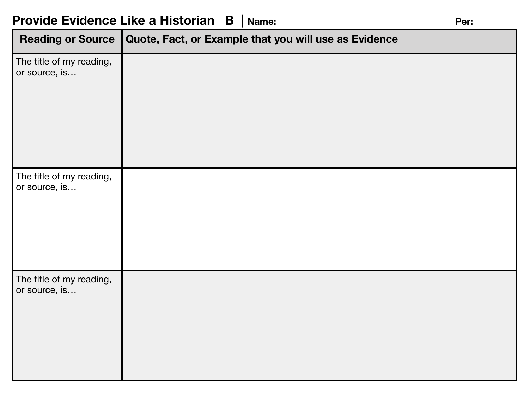### **Provide Evidence Like a Historian B | Name:** Per: Per:

| <b>Reading or Source</b>                  | Quote, Fact, or Example that you will use as Evidence |
|-------------------------------------------|-------------------------------------------------------|
| The title of my reading,<br>or source, is |                                                       |
| The title of my reading,<br>or source, is |                                                       |
| The title of my reading,<br>or source, is |                                                       |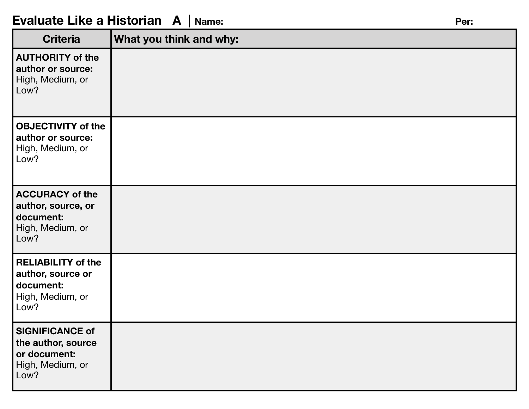### **Evaluate Like a Historian A | Name:** Per:

| <b>Criteria</b>                                                                          | What you think and why: |
|------------------------------------------------------------------------------------------|-------------------------|
| <b>AUTHORITY of the</b><br>author or source:<br>High, Medium, or<br>Low?                 |                         |
| <b>OBJECTIVITY of the</b><br>author or source:<br>High, Medium, or<br>Low?               |                         |
| <b>ACCURACY of the</b><br>author, source, or<br>document:<br>High, Medium, or<br>Low?    |                         |
| <b>RELIABILITY of the</b><br>author, source or<br>document:<br>High, Medium, or<br>Low?  |                         |
| <b>SIGNIFICANCE of</b><br>the author, source<br>or document:<br>High, Medium, or<br>Low? |                         |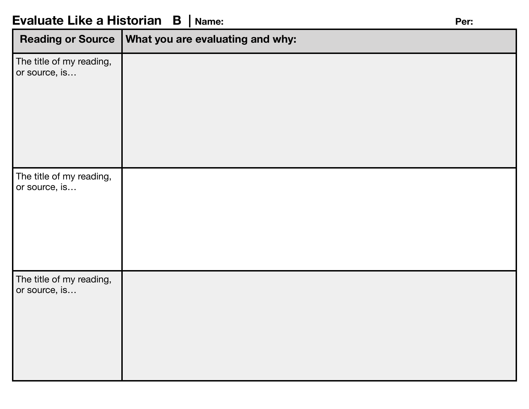| <b>Reading or Source</b>                  | What you are evaluating and why: |
|-------------------------------------------|----------------------------------|
| The title of my reading,<br>or source, is |                                  |
| The title of my reading,<br>or source, is |                                  |
| The title of my reading,<br>or source, is |                                  |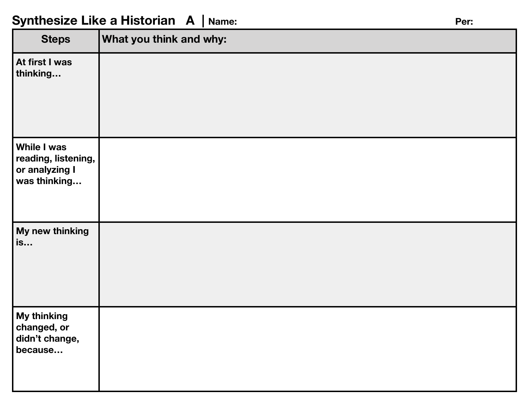## Synthesize Like a Historian A | Name: **Per:** Per: Per:

| <b>Steps</b>                                                         | What you think and why: |
|----------------------------------------------------------------------|-------------------------|
| At first I was<br>thinking                                           |                         |
| While I was<br>reading, listening,<br>or analyzing I<br>was thinking |                         |
| My new thinking<br>is                                                |                         |
| My thinking<br>changed, or<br>didn't change,<br>because              |                         |